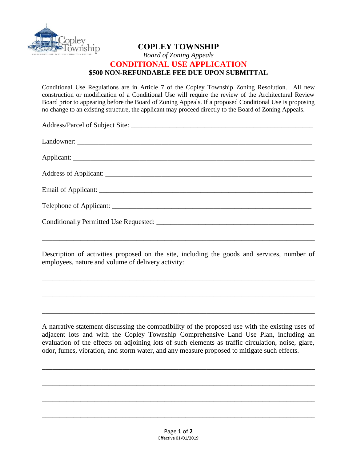

## **COPLEY TOWNSHIP**  *Board of Zoning Appeals*  **CONDITIONAL USE APPLICATION \$500 NON-REFUNDABLE FEE DUE UPON SUBMITTAL**

Conditional Use Regulations are in Article 7 of the Copley Township Zoning Resolution. All new construction or modification of a Conditional Use will require the review of the Architectural Review Board prior to appearing before the Board of Zoning Appeals. If a proposed Conditional Use is proposing no change to an existing structure, the applicant may proceed directly to the Board of Zoning Appeals.

Description of activities proposed on the site, including the goods and services, number of employees, nature and volume of delivery activity:

\_\_\_\_\_\_\_\_\_\_\_\_\_\_\_\_\_\_\_\_\_\_\_\_\_\_\_\_\_\_\_\_\_\_\_\_\_\_\_\_\_\_\_\_\_\_\_\_\_\_\_\_\_\_\_\_\_\_\_\_\_\_\_\_\_\_\_\_\_\_\_\_\_\_\_\_\_\_

\_\_\_\_\_\_\_\_\_\_\_\_\_\_\_\_\_\_\_\_\_\_\_\_\_\_\_\_\_\_\_\_\_\_\_\_\_\_\_\_\_\_\_\_\_\_\_\_\_\_\_\_\_\_\_\_\_\_\_\_\_\_\_\_\_\_\_\_\_\_\_\_\_\_\_\_\_\_

\_\_\_\_\_\_\_\_\_\_\_\_\_\_\_\_\_\_\_\_\_\_\_\_\_\_\_\_\_\_\_\_\_\_\_\_\_\_\_\_\_\_\_\_\_\_\_\_\_\_\_\_\_\_\_\_\_\_\_\_\_\_\_\_\_\_\_\_\_\_\_\_\_\_\_\_\_\_

A narrative statement discussing the compatibility of the proposed use with the existing uses of adjacent lots and with the Copley Township Comprehensive Land Use Plan, including an evaluation of the effects on adjoining lots of such elements as traffic circulation, noise, glare, odor, fumes, vibration, and storm water, and any measure proposed to mitigate such effects.

\_\_\_\_\_\_\_\_\_\_\_\_\_\_\_\_\_\_\_\_\_\_\_\_\_\_\_\_\_\_\_\_\_\_\_\_\_\_\_\_\_\_\_\_\_\_\_\_\_\_\_\_\_\_\_\_\_\_\_\_\_\_\_\_\_\_\_\_\_\_\_\_\_\_\_\_\_\_

\_\_\_\_\_\_\_\_\_\_\_\_\_\_\_\_\_\_\_\_\_\_\_\_\_\_\_\_\_\_\_\_\_\_\_\_\_\_\_\_\_\_\_\_\_\_\_\_\_\_\_\_\_\_\_\_\_\_\_\_\_\_\_\_\_\_\_\_\_\_\_\_\_\_\_\_\_\_

\_\_\_\_\_\_\_\_\_\_\_\_\_\_\_\_\_\_\_\_\_\_\_\_\_\_\_\_\_\_\_\_\_\_\_\_\_\_\_\_\_\_\_\_\_\_\_\_\_\_\_\_\_\_\_\_\_\_\_\_\_\_\_\_\_\_\_\_\_\_\_\_\_\_\_\_\_\_

\_\_\_\_\_\_\_\_\_\_\_\_\_\_\_\_\_\_\_\_\_\_\_\_\_\_\_\_\_\_\_\_\_\_\_\_\_\_\_\_\_\_\_\_\_\_\_\_\_\_\_\_\_\_\_\_\_\_\_\_\_\_\_\_\_\_\_\_\_\_\_\_\_\_\_\_\_\_